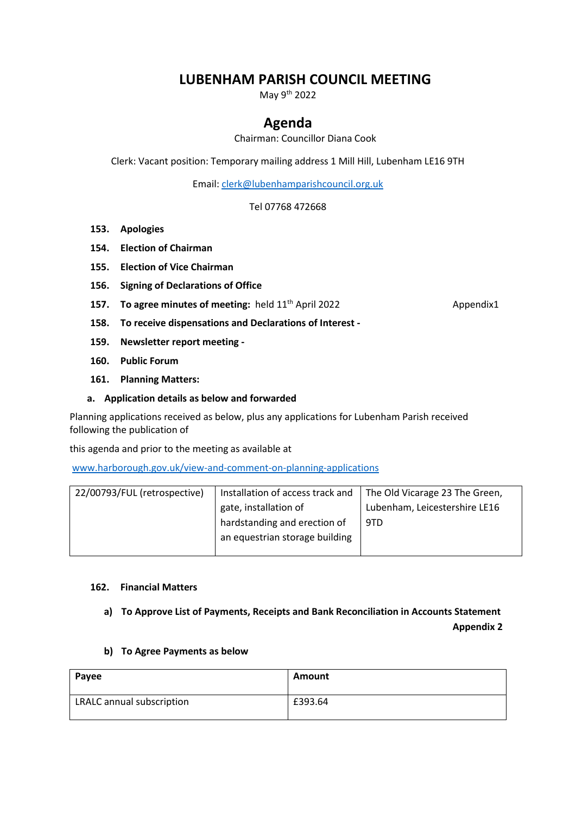# **LUBENHAM PARISH COUNCIL MEETING**

May 9<sup>th</sup> 2022

## **Agenda**

Chairman: Councillor Diana Cook

Clerk: Vacant position: Temporary mailing address 1 Mill Hill, Lubenham LE16 9TH

Email: [clerk@lubenhamparishcouncil.org.uk](mailto:clerk@lubenhamparishcouncil.org.uk)

Tel 07768 472668

- **153. Apologies**
- **154. Election of Chairman**
- **155. Election of Vice Chairman**
- **156. Signing of Declarations of Office**
- **157. To agree minutes of meeting:** held 11<sup>th</sup> April 2022 **Appendix1**

**158. To receive dispensations and Declarations of Interest -**

- **159. Newsletter report meeting -**
- **160. Public Forum**
- **161. Planning Matters:**

#### **a. Application details as below and forwarded**

Planning applications received as below, plus any applications for Lubenham Parish received following the publication of

this agenda and prior to the meeting as available at

[www.harborough.gov.uk/view-and-comment-on-planning-applications](http://www.harborough.gov.uk/view-and-comment-on-planning-applications)

| 22/00793/FUL (retrospective) | Installation of access track and | The Old Vicarage 23 The Green, |
|------------------------------|----------------------------------|--------------------------------|
|                              | gate, installation of            | Lubenham, Leicestershire LE16  |
|                              | hardstanding and erection of     | 9TD                            |
|                              | an equestrian storage building   |                                |
|                              |                                  |                                |

### **162. Financial Matters**

## **a) To Approve List of Payments, Receipts and Bank Reconciliation in Accounts Statement Appendix 2**

#### **b) To Agree Payments as below**

| Payee                     | Amount  |
|---------------------------|---------|
| LRALC annual subscription | £393.64 |